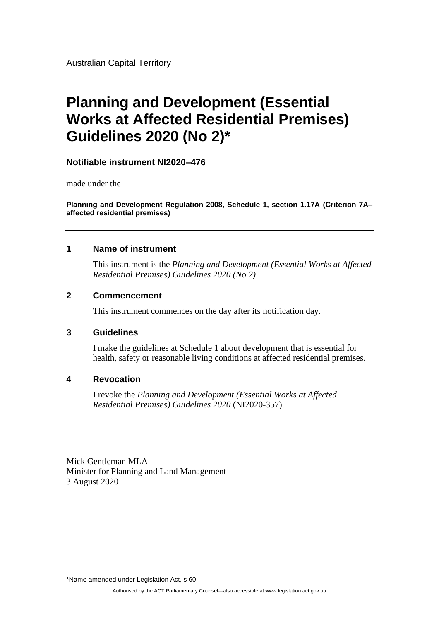Australian Capital Territory

# **Planning and Development (Essential Works at Affected Residential Premises) Guidelines 2020 (No 2)\***

# **Notifiable instrument NI2020–476**

made under the

**Planning and Development Regulation 2008, Schedule 1, section 1.17A (Criterion 7A– affected residential premises)**

## **1 Name of instrument**

This instrument is the *Planning and Development (Essential Works at Affected Residential Premises) Guidelines 2020 (No 2)*.

## **2 Commencement**

This instrument commences on the day after its notification day.

## **3 Guidelines**

I make the guidelines at Schedule 1 about development that is essential for health, safety or reasonable living conditions at affected residential premises.

## **4 Revocation**

I revoke the *Planning and Development (Essential Works at Affected Residential Premises) Guidelines 2020* (NI2020-357).

Mick Gentleman MLA Minister for Planning and Land Management 3 August 2020

\*Name amended under Legislation Act, s 60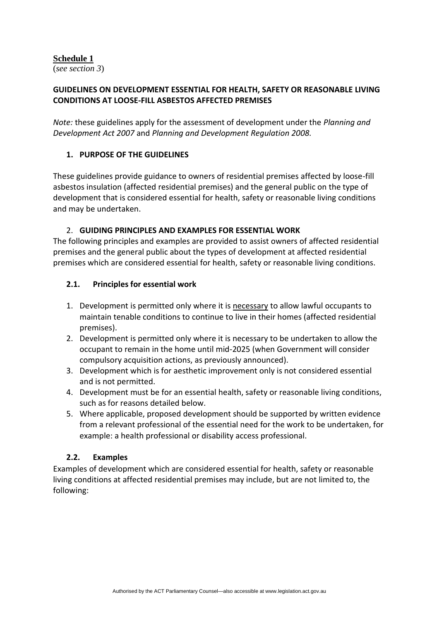## **Schedule 1**

(*see section 3*)

# **GUIDELINES ON DEVELOPMENT ESSENTIAL FOR HEALTH, SAFETY OR REASONABLE LIVING CONDITIONS AT LOOSE-FILL ASBESTOS AFFECTED PREMISES**

*Note:* these guidelines apply for the assessment of development under the *Planning and Development Act 2007* and *Planning and Development Regulation 2008.* 

# **1. PURPOSE OF THE GUIDELINES**

These guidelines provide guidance to owners of residential premises affected by loose-fill asbestos insulation (affected residential premises) and the general public on the type of development that is considered essential for health, safety or reasonable living conditions and may be undertaken.

# 2. **GUIDING PRINCIPLES AND EXAMPLES FOR ESSENTIAL WORK**

The following principles and examples are provided to assist owners of affected residential premises and the general public about the types of development at affected residential premises which are considered essential for health, safety or reasonable living conditions.

# **2.1. Principles for essential work**

- 1. Development is permitted only where it is necessary to allow lawful occupants to maintain tenable conditions to continue to live in their homes (affected residential premises).
- 2. Development is permitted only where it is necessary to be undertaken to allow the occupant to remain in the home until mid-2025 (when Government will consider compulsory acquisition actions, as previously announced).
- 3. Development which is for aesthetic improvement only is not considered essential and is not permitted.
- 4. Development must be for an essential health, safety or reasonable living conditions, such as for reasons detailed below.
- 5. Where applicable, proposed development should be supported by written evidence from a relevant professional of the essential need for the work to be undertaken, for example: a health professional or disability access professional.

# **2.2. Examples**

Examples of development which are considered essential for health, safety or reasonable living conditions at affected residential premises may include, but are not limited to, the following: